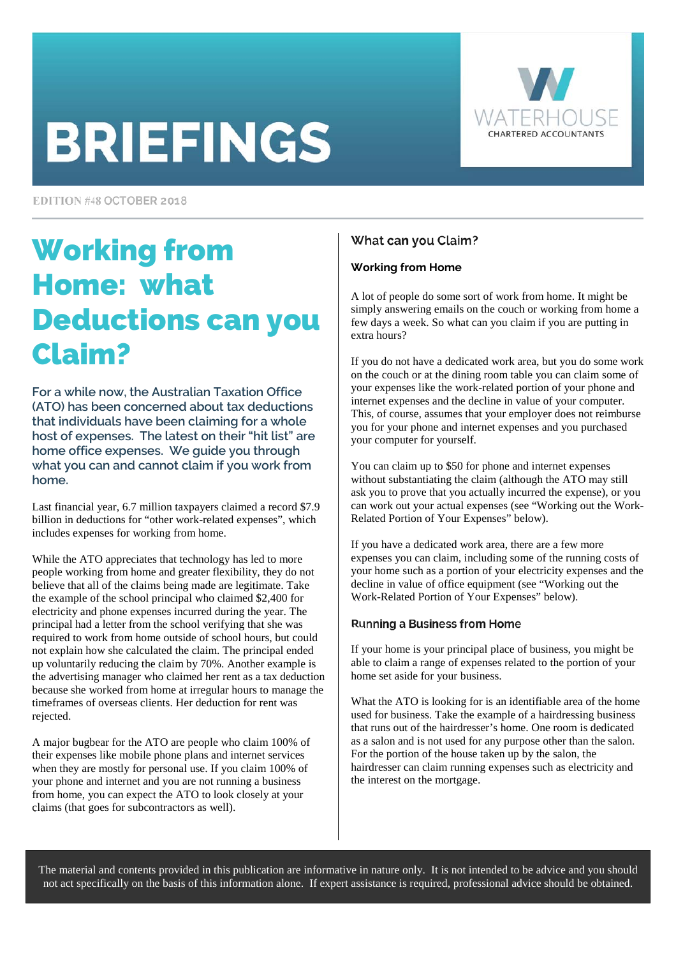# **BRIEFINGS**



EDITION #48 OCTOBER 2018

### Working from Home: what Deductions can you Claim?

**For a while now, the Australian Taxation Office (ATO) has been concerned about tax deductions that individuals have been claiming for a whole host of expenses. The latest on their "hit list" are home office expenses. We guide you through what you can and cannot claim if you work from home.** 

Last financial year, 6.7 million taxpayers claimed a record \$7.9 billion in deductions for "other work-related expenses", which includes expenses for working from home.

While the ATO appreciates that technology has led to more people working from home and greater flexibility, they do not believe that all of the claims being made are legitimate. Take the example of the school principal who claimed \$2,400 for electricity and phone expenses incurred during the year. The principal had a letter from the school verifying that she was required to work from home outside of school hours, but could not explain how she calculated the claim. The principal ended up voluntarily reducing the claim by 70%. Another example is the advertising manager who claimed her rent as a tax deduction because she worked from home at irregular hours to manage the timeframes of overseas clients. Her deduction for rent was rejected.

A major bugbear for the ATO are people who claim 100% of their expenses like mobile phone plans and internet services when they are mostly for personal use. If you claim 100% of your phone and internet and you are not running a business from home, you can expect the ATO to look closely at your claims (that goes for subcontractors as well).

### What can you Claim?

### **Working from Home**

A lot of people do some sort of work from home. It might be simply answering emails on the couch or working from home a few days a week. So what can you claim if you are putting in extra hours?

If you do not have a dedicated work area, but you do some work on the couch or at the dining room table you can claim some of your expenses like the work-related portion of your phone and internet expenses and the decline in value of your computer. This, of course, assumes that your employer does not reimburse you for your phone and internet expenses and you purchased your computer for yourself.

You can claim up to \$50 for phone and internet expenses without substantiating the claim (although the ATO may still ask you to prove that you actually incurred the expense), or you can work out your actual expenses (see "Working out the Work-Related Portion of Your Expenses" below).

If you have a dedicated work area, there are a few more expenses you can claim, including some of the running costs of your home such as a portion of your electricity expenses and the decline in value of office equipment (see "Working out the Work-Related Portion of Your Expenses" below).

### Running a Business from Home

If your home is your principal place of business, you might be able to claim a range of expenses related to the portion of your home set aside for your business.

What the ATO is looking for is an identifiable area of the home used for business. Take the example of a hairdressing business that runs out of the hairdresser's home. One room is dedicated as a salon and is not used for any purpose other than the salon. For the portion of the house taken up by the salon, the hairdresser can claim running expenses such as electricity and the interest on the mortgage.

The material and contents provided in this publication are informative in nature only. It is not intended to be advice and you should not act specifically on the basis of this information alone. If expert assistance is required, professional advice should be obtained.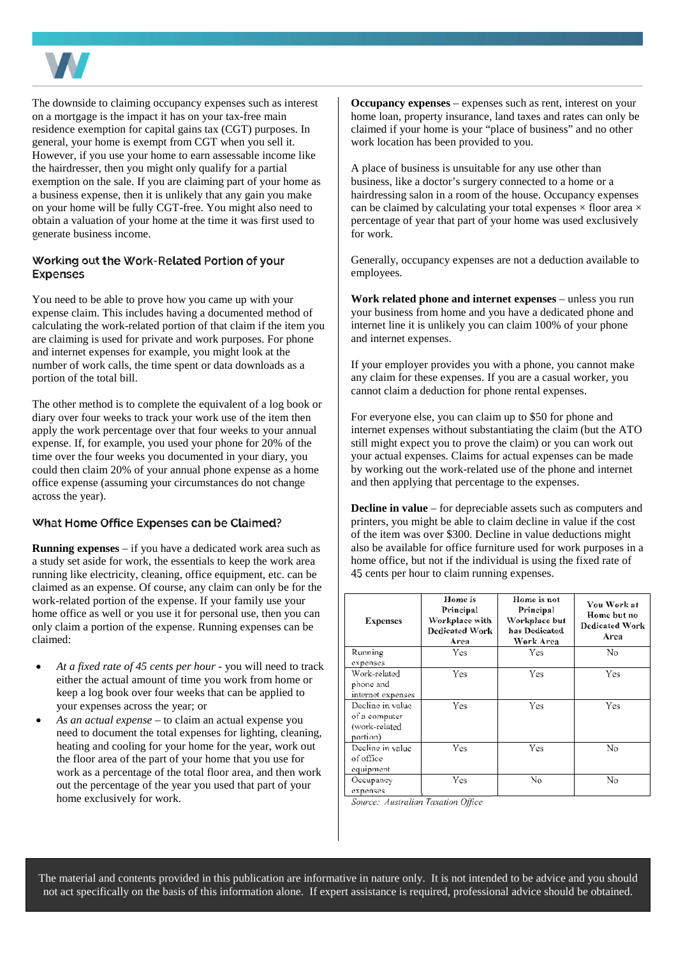

The downside to claiming occupancy expenses such as interest on a mortgage is the impact it has on your tax-free main residence exemption for capital gains tax (CGT) purposes. In general, your home is exempt from CGT when you sell it. However, if you use your home to earn assessable income like the hairdresser, then you might only qualify for a partial exemption on the sale. If you are claiming part of your home as a business expense, then it is unlikely that any gain you make on your home will be fully CGT-free. You might also need to obtain a valuation of your home at the time it was first used to generate business income.

#### Working out the Work-Related Portion of your **Expenses**

You need to be able to prove how you came up with your expense claim. This includes having a documented method of calculating the work-related portion of that claim if the item you are claiming is used for private and work purposes. For phone and internet expenses for example, you might look at the number of work calls, the time spent or data downloads as a portion of the total bill.

The other method is to complete the equivalent of a log book or diary over four weeks to track your work use of the item then apply the work percentage over that four weeks to your annual expense. If, for example, you used your phone for 20% of the time over the four weeks you documented in your diary, you could then claim 20% of your annual phone expense as a home office expense (assuming your circumstances do not change across the year).

#### What Home Office Expenses can be Claimed?

**Running expenses** – if you have a dedicated work area such as a study set aside for work, the essentials to keep the work area running like electricity, cleaning, office equipment, etc. can be claimed as an expense. Of course, any claim can only be for the work-related portion of the expense. If your family use your home office as well or you use it for personal use, then you can only claim a portion of the expense. Running expenses can be claimed:

- *At a fixed rate of 45 cents per hour* you will need to track either the actual amount of time you work from home or keep a log book over four weeks that can be applied to your expenses across the year; or
- *As an actual expense* to claim an actual expense you need to document the total expenses for lighting, cleaning, heating and cooling for your home for the year, work out the floor area of the part of your home that you use for work as a percentage of the total floor area, and then work out the percentage of the year you used that part of your home exclusively for work.

**Occupancy expenses** – expenses such as rent, interest on your home loan, property insurance, land taxes and rates can only be claimed if your home is your "place of business" and no other work location has been provided to you.

A place of business is unsuitable for any use other than business, like a doctor's surgery connected to a home or a hairdressing salon in a room of the house. Occupancy expenses can be claimed by calculating your total expenses  $\times$  floor area  $\times$ percentage of year that part of your home was used exclusively for work.

Generally, occupancy expenses are not a deduction available to employees.

**Work related phone and internet expenses** – unless you run your business from home and you have a dedicated phone and internet line it is unlikely you can claim 100% of your phone and internet expenses.

If your employer provides you with a phone, you cannot make any claim for these expenses. If you are a casual worker, you cannot claim a deduction for phone rental expenses.

For everyone else, you can claim up to \$50 for phone and internet expenses without substantiating the claim (but the ATO still might expect you to prove the claim) or you can work out your actual expenses. Claims for actual expenses can be made by working out the work-related use of the phone and internet and then applying that percentage to the expenses.

**Decline in value** – for depreciable assets such as computers and printers, you might be able to claim decline in value if the cost of the item was over \$300. Decline in value deductions might also be available for office furniture used for work purposes in a home office, but not if the individual is using the fixed rate of 45 cents per hour to claim running expenses.

| <b>Expenses</b>                                                | Home is<br>Principal<br>Workplace with<br><b>Dedicated Work</b><br>Area | Home is not<br>Principal<br>Workplace but<br>has Dedicated<br>Work Area | <b>You Work at</b><br>Home but no<br><b>Dedicated Work</b><br>Area |
|----------------------------------------------------------------|-------------------------------------------------------------------------|-------------------------------------------------------------------------|--------------------------------------------------------------------|
| Running<br>expenses                                            | Yes                                                                     | Yes                                                                     | No                                                                 |
| Work-related<br>phone and<br>internet expenses                 | Yes                                                                     | Yes                                                                     | Yes                                                                |
| Decline in value<br>of a computer<br>(work-related<br>portion) | Yes                                                                     | Yes                                                                     | Yes                                                                |
| Decline in value<br>of office<br>equipment                     | Yes                                                                     | Yes                                                                     | No                                                                 |
| Occupancy<br>expenses                                          | Yes                                                                     | No                                                                      | No                                                                 |

Source: Australian Taxation Office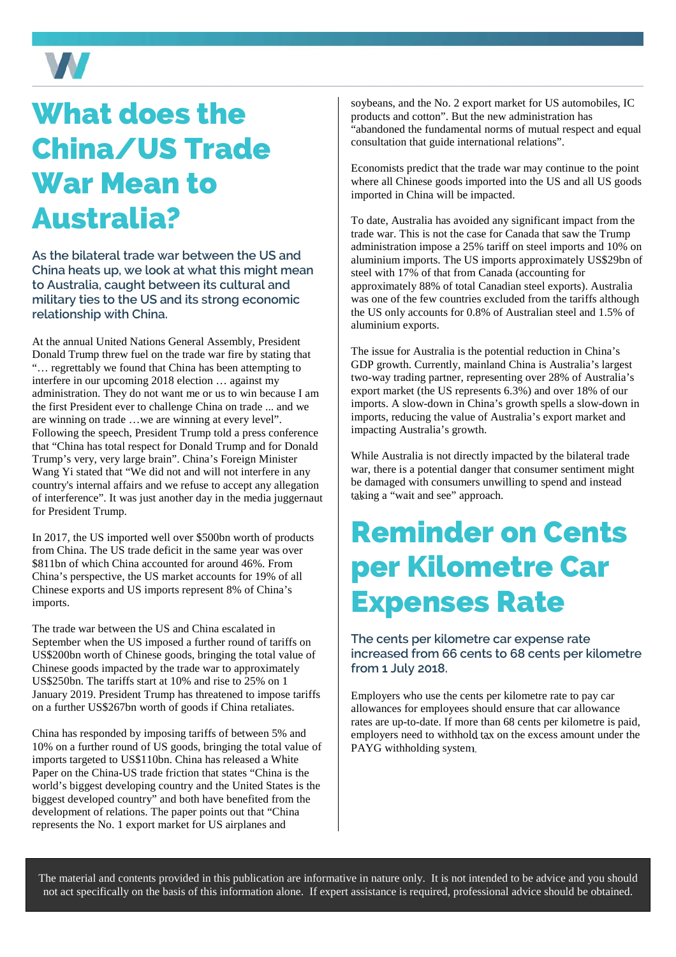

### What does the China/US Trade War Mean to Australia?

**As the bilateral trade war between the US and China heats up, we look at what this might mean to Australia, caught between its cultural and military ties to the US and its strong economic relationship with China.** 

At the annual United Nations General Assembly, President Donald Trump threw fuel on the trade war fire by stating that "… regrettably we found that China has been attempting to interfere in our upcoming 2018 election … against my administration. They do not want me or us to win because I am the first President ever to challenge China on trade ... and we are winning on trade …we are winning at every level". Following the speech, President Trump told a press conference that "China has total respect for Donald Trump and for Donald Trump's very, very large brain". China's Foreign Minister Wang Yi stated that "We did not and will not interfere in any country's internal affairs and we refuse to accept any allegation of interference". It was just another day in the media juggernaut for President Trump.

In 2017, the US imported well over \$500bn worth of products from China. The US trade deficit in the same year was over \$811bn of which China accounted for around 46%. From China's perspective, the US market accounts for 19% of all Chinese exports and US imports represent 8% of China's imports.

The trade war between the US and China escalated in September when the US imposed a further round of tariffs on US\$200bn worth of Chinese goods, bringing the total value of Chinese goods impacted by the trade war to approximately US\$250bn. The tariffs start at 10% and rise to 25% on 1 January 2019. President Trump has threatened to impose tariffs on a further US\$267bn worth of goods if China retaliates.

China has responded by imposing tariffs of between 5% and 10% on a further round of US goods, bringing the total value of imports targeted to US\$110bn. China has released a White Paper on the China-US trade friction that states "China is the world's biggest developing country and the United States is the biggest developed country" and both have benefited from the development of relations. The paper points out that "China represents the No. 1 export market for US airplanes and

soybeans, and the No. 2 export market for US automobiles, IC products and cotton". But the new administration has "abandoned the fundamental norms of mutual respect and equal consultation that guide international relations".

Economists predict that the trade war may continue to the point where all Chinese goods imported into the US and all US goods imported in China will be impacted.

To date, Australia has avoided any significant impact from the trade war. This is not the case for Canada that saw the Trump administration impose a 25% tariff on steel imports and 10% on aluminium imports. The US imports approximately US\$29bn of steel with 17% of that from Canada (accounting for approximately 88% of total Canadian steel exports). Australia was one of the few countries excluded from the tariffs although the US only accounts for 0.8% of Australian steel and 1.5% of aluminium exports.

The issue for Australia is the potential reduction in China's GDP growth. Currently, mainland China is Australia's largest two-way trading partner, representing over 28% of Australia's export market (the US represents 6.3%) and over 18% of our imports. A slow-down in China's growth spells a slow-down in imports, reducing the value of Australia's export market and impacting Australia's growth.

While Australia is not directly impacted by the bilateral trade war, there is a potential danger that consumer sentiment might be damaged with consumers unwilling to spend and instead taking a "wait and see" approach.

### Reminder on Cents per Kilometre Car Expenses Rate

### **The cents per kilometre car expense rate increased from 66 cents to 68 cents per kilometre from 1 July 2018.**

Employers who use the cents per kilometre rate to pay car allowances for employees should ensure that car allowance rates are up-to-date. If more than 68 cents per kilometre is paid, employers need to withhold tax on the excess amount under the PAYG withholding system.

The material and contents provided in this publication are informative in nature only. It is not intended to be advice and you should not act specifically on the basis of this information alone. If expert assistance is required, professional advice should be obtained.